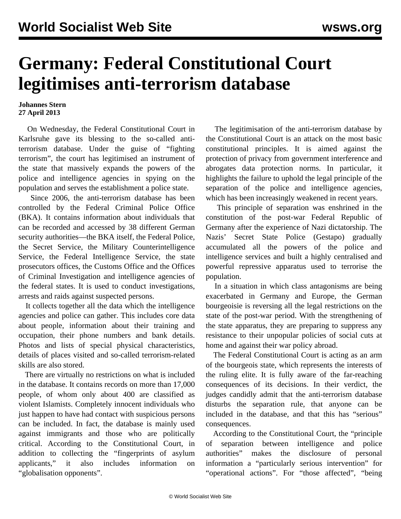## **Germany: Federal Constitutional Court legitimises anti-terrorism database**

## **Johannes Stern 27 April 2013**

 On Wednesday, the Federal Constitutional Court in Karlsruhe gave its blessing to the so-called antiterrorism database. Under the guise of "fighting terrorism", the court has legitimised an instrument of the state that massively expands the powers of the police and intelligence agencies in spying on the population and serves the establishment a police state.

 Since 2006, the anti-terrorism database has been controlled by the Federal Criminal Police Office (BKA). It contains information about individuals that can be recorded and accessed by 38 different German security authorities—the BKA itself, the Federal Police, the Secret Service, the Military Counterintelligence Service, the Federal Intelligence Service, the state prosecutors offices, the Customs Office and the Offices of Criminal Investigation and intelligence agencies of the federal states. It is used to conduct investigations, arrests and raids against suspected persons.

 It collects together all the data which the intelligence agencies and police can gather. This includes core data about people, information about their training and occupation, their phone numbers and bank details. Photos and lists of special physical characteristics, details of places visited and so-called terrorism-related skills are also stored.

 There are virtually no restrictions on what is included in the database. It contains records on more than 17,000 people, of whom only about 400 are classified as violent Islamists. Completely innocent individuals who just happen to have had contact with suspicious persons can be included. In fact, the database is mainly used against immigrants and those who are politically critical. According to the Constitutional Court, in addition to collecting the "fingerprints of asylum applicants," it also includes information on "globalisation opponents".

 The legitimisation of the anti-terrorism database by the Constitutional Court is an attack on the most basic constitutional principles. It is aimed against the protection of privacy from government interference and abrogates data protection norms. In particular, it highlights the failure to uphold the legal principle of the separation of the police and intelligence agencies, which has been increasingly weakened in recent years.

 This principle of separation was enshrined in the constitution of the post-war Federal Republic of Germany after the experience of Nazi dictatorship. The Nazis' Secret State Police (Gestapo) gradually accumulated all the powers of the police and intelligence services and built a highly centralised and powerful repressive apparatus used to terrorise the population.

 In a situation in which class antagonisms are being exacerbated in Germany and Europe, the German bourgeoisie is reversing all the legal restrictions on the state of the post-war period. With the strengthening of the state apparatus, they are preparing to suppress any resistance to their unpopular policies of social cuts at home and against their war policy abroad.

 The Federal Constitutional Court is acting as an arm of the bourgeois state, which represents the interests of the ruling elite. It is fully aware of the far-reaching consequences of its decisions. In their verdict, the judges candidly admit that the anti-terrorism database disturbs the separation rule, that anyone can be included in the database, and that this has "serious" consequences.

 According to the Constitutional Court, the "principle of separation between intelligence and police authorities" makes the disclosure of personal information a "particularly serious intervention" for "operational actions". For "those affected", "being